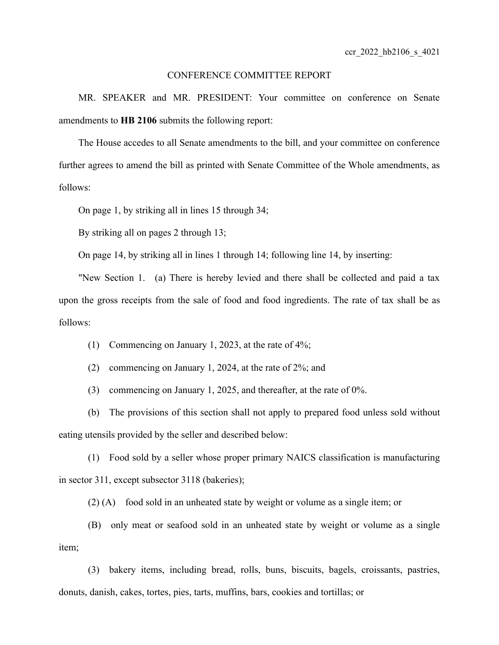## CONFERENCE COMMITTEE REPORT

MR. SPEAKER and MR. PRESIDENT: Your committee on conference on Senate amendments to **HB 2106** submits the following report:

The House accedes to all Senate amendments to the bill, and your committee on conference further agrees to amend the bill as printed with Senate Committee of the Whole amendments, as follows:

On page 1, by striking all in lines 15 through 34;

By striking all on pages 2 through 13;

On page 14, by striking all in lines 1 through 14; following line 14, by inserting:

"New Section 1. (a) There is hereby levied and there shall be collected and paid a tax upon the gross receipts from the sale of food and food ingredients. The rate of tax shall be as follows:

(1) Commencing on January 1, 2023, at the rate of 4%;

(2) commencing on January 1, 2024, at the rate of 2%; and

(3) commencing on January 1, 2025, and thereafter, at the rate of 0%.

(b) The provisions of this section shall not apply to prepared food unless sold without eating utensils provided by the seller and described below:

(1) Food sold by a seller whose proper primary NAICS classification is manufacturing in sector 311, except subsector 3118 (bakeries);

(2) (A) food sold in an unheated state by weight or volume as a single item; or

(B) only meat or seafood sold in an unheated state by weight or volume as a single item;

(3) bakery items, including bread, rolls, buns, biscuits, bagels, croissants, pastries, donuts, danish, cakes, tortes, pies, tarts, muffins, bars, cookies and tortillas; or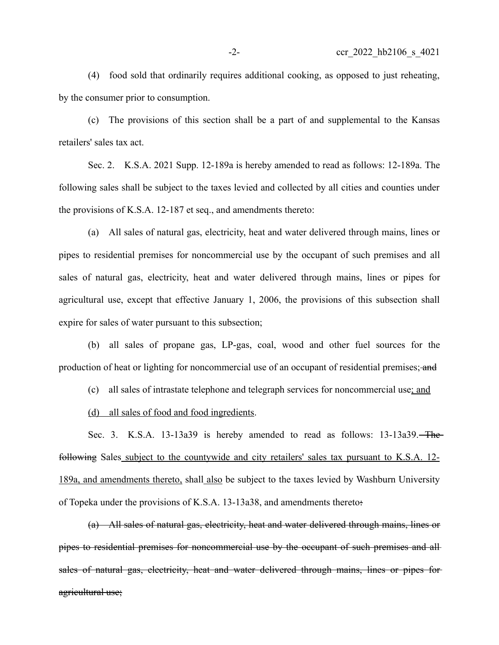(4) food sold that ordinarily requires additional cooking, as opposed to just reheating, by the consumer prior to consumption.

(c) The provisions of this section shall be a part of and supplemental to the Kansas retailers' sales tax act.

Sec. 2. K.S.A. 2021 Supp. 12-189a is hereby amended to read as follows: 12-189a. The following sales shall be subject to the taxes levied and collected by all cities and counties under the provisions of K.S.A. 12-187 et seq., and amendments thereto:

(a) All sales of natural gas, electricity, heat and water delivered through mains, lines or pipes to residential premises for noncommercial use by the occupant of such premises and all sales of natural gas, electricity, heat and water delivered through mains, lines or pipes for agricultural use, except that effective January 1, 2006, the provisions of this subsection shall expire for sales of water pursuant to this subsection;

(b) all sales of propane gas, LP-gas, coal, wood and other fuel sources for the production of heat or lighting for noncommercial use of an occupant of residential premises; and

(c) all sales of intrastate telephone and telegraph services for noncommercial use; and

(d) all sales of food and food ingredients.

Sec. 3. K.S.A. 13-13a39 is hereby amended to read as follows: 13-13a39. The following Sales subject to the countywide and city retailers' sales tax pursuant to K.S.A. 12- 189a, and amendments thereto, shall also be subject to the taxes levied by Washburn University of Topeka under the provisions of K.S.A. 13-13a38, and amendments thereto:

(a) All sales of natural gas, electricity, heat and water delivered through mains, lines or pipes to residential premises for noncommercial use by the occupant of such premises and all sales of natural gas, electricity, heat and water delivered through mains, lines or pipes for agricultural use;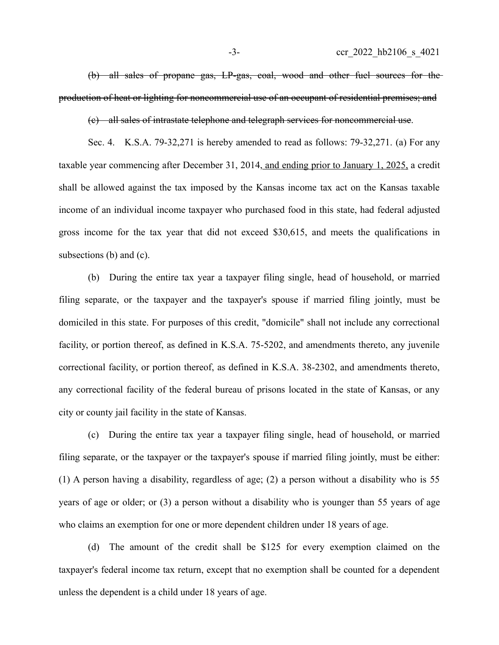(b) all sales of propane gas, LP-gas, coal, wood and other fuel sources for the production of heat or lighting for noncommercial use of an occupant of residential premises; and

(c) all sales of intrastate telephone and telegraph services for noncommercial use.

Sec. 4. K.S.A. 79-32,271 is hereby amended to read as follows: 79-32,271. (a) For any taxable year commencing after December 31, 2014, and ending prior to January 1, 2025, a credit shall be allowed against the tax imposed by the Kansas income tax act on the Kansas taxable income of an individual income taxpayer who purchased food in this state, had federal adjusted gross income for the tax year that did not exceed \$30,615, and meets the qualifications in subsections (b) and (c).

(b) During the entire tax year a taxpayer filing single, head of household, or married filing separate, or the taxpayer and the taxpayer's spouse if married filing jointly, must be domiciled in this state. For purposes of this credit, "domicile" shall not include any correctional facility, or portion thereof, as defined in K.S.A. 75-5202, and amendments thereto, any juvenile correctional facility, or portion thereof, as defined in K.S.A. 38-2302, and amendments thereto, any correctional facility of the federal bureau of prisons located in the state of Kansas, or any city or county jail facility in the state of Kansas.

(c) During the entire tax year a taxpayer filing single, head of household, or married filing separate, or the taxpayer or the taxpayer's spouse if married filing jointly, must be either: (1) A person having a disability, regardless of age; (2) a person without a disability who is 55 years of age or older; or (3) a person without a disability who is younger than 55 years of age who claims an exemption for one or more dependent children under 18 years of age.

(d) The amount of the credit shall be \$125 for every exemption claimed on the taxpayer's federal income tax return, except that no exemption shall be counted for a dependent unless the dependent is a child under 18 years of age.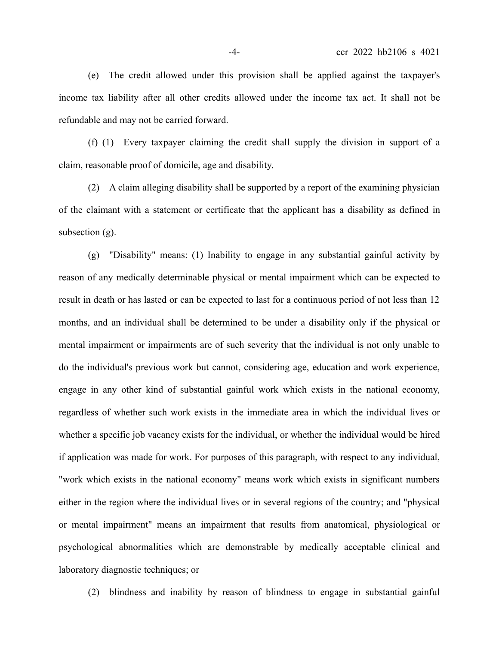(e) The credit allowed under this provision shall be applied against the taxpayer's income tax liability after all other credits allowed under the income tax act. It shall not be refundable and may not be carried forward.

(f) (1) Every taxpayer claiming the credit shall supply the division in support of a claim, reasonable proof of domicile, age and disability.

(2) A claim alleging disability shall be supported by a report of the examining physician of the claimant with a statement or certificate that the applicant has a disability as defined in subsection (g).

(g) "Disability" means: (1) Inability to engage in any substantial gainful activity by reason of any medically determinable physical or mental impairment which can be expected to result in death or has lasted or can be expected to last for a continuous period of not less than 12 months, and an individual shall be determined to be under a disability only if the physical or mental impairment or impairments are of such severity that the individual is not only unable to do the individual's previous work but cannot, considering age, education and work experience, engage in any other kind of substantial gainful work which exists in the national economy, regardless of whether such work exists in the immediate area in which the individual lives or whether a specific job vacancy exists for the individual, or whether the individual would be hired if application was made for work. For purposes of this paragraph, with respect to any individual, "work which exists in the national economy" means work which exists in significant numbers either in the region where the individual lives or in several regions of the country; and "physical or mental impairment" means an impairment that results from anatomical, physiological or psychological abnormalities which are demonstrable by medically acceptable clinical and laboratory diagnostic techniques; or

(2) blindness and inability by reason of blindness to engage in substantial gainful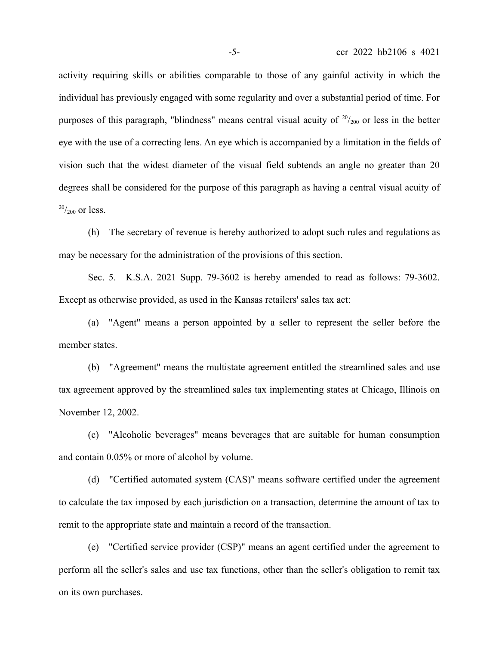activity requiring skills or abilities comparable to those of any gainful activity in which the individual has previously engaged with some regularity and over a substantial period of time. For purposes of this paragraph, "blindness" means central visual acuity of  $20/200$  or less in the better eye with the use of a correcting lens. An eye which is accompanied by a limitation in the fields of vision such that the widest diameter of the visual field subtends an angle no greater than 20 degrees shall be considered for the purpose of this paragraph as having a central visual acuity of  $^{20}/_{200}$  or less.

(h) The secretary of revenue is hereby authorized to adopt such rules and regulations as may be necessary for the administration of the provisions of this section.

Sec. 5. K.S.A. 2021 Supp. 79-3602 is hereby amended to read as follows: 79-3602. Except as otherwise provided, as used in the Kansas retailers' sales tax act:

(a) "Agent" means a person appointed by a seller to represent the seller before the member states.

(b) "Agreement" means the multistate agreement entitled the streamlined sales and use tax agreement approved by the streamlined sales tax implementing states at Chicago, Illinois on November 12, 2002.

(c) "Alcoholic beverages" means beverages that are suitable for human consumption and contain 0.05% or more of alcohol by volume.

(d) "Certified automated system (CAS)" means software certified under the agreement to calculate the tax imposed by each jurisdiction on a transaction, determine the amount of tax to remit to the appropriate state and maintain a record of the transaction.

(e) "Certified service provider (CSP)" means an agent certified under the agreement to perform all the seller's sales and use tax functions, other than the seller's obligation to remit tax on its own purchases.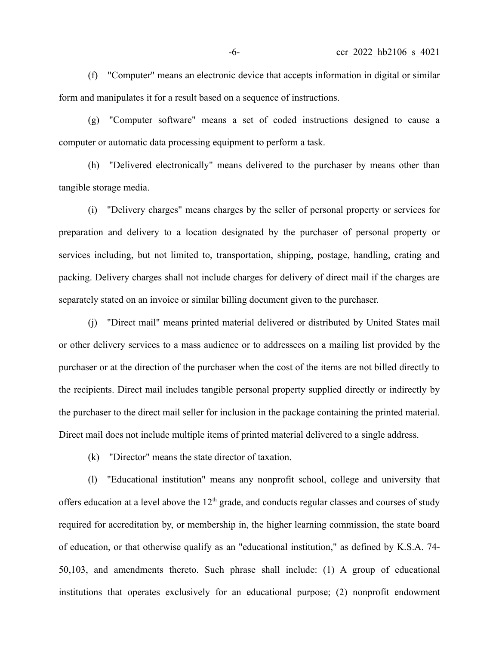(f) "Computer" means an electronic device that accepts information in digital or similar form and manipulates it for a result based on a sequence of instructions.

(g) "Computer software" means a set of coded instructions designed to cause a computer or automatic data processing equipment to perform a task.

(h) "Delivered electronically" means delivered to the purchaser by means other than tangible storage media.

(i) "Delivery charges" means charges by the seller of personal property or services for preparation and delivery to a location designated by the purchaser of personal property or services including, but not limited to, transportation, shipping, postage, handling, crating and packing. Delivery charges shall not include charges for delivery of direct mail if the charges are separately stated on an invoice or similar billing document given to the purchaser.

(j) "Direct mail" means printed material delivered or distributed by United States mail or other delivery services to a mass audience or to addressees on a mailing list provided by the purchaser or at the direction of the purchaser when the cost of the items are not billed directly to the recipients. Direct mail includes tangible personal property supplied directly or indirectly by the purchaser to the direct mail seller for inclusion in the package containing the printed material. Direct mail does not include multiple items of printed material delivered to a single address.

(k) "Director" means the state director of taxation.

(l) "Educational institution" means any nonprofit school, college and university that offers education at a level above the  $12<sup>th</sup>$  grade, and conducts regular classes and courses of study required for accreditation by, or membership in, the higher learning commission, the state board of education, or that otherwise qualify as an "educational institution," as defined by K.S.A. 74- 50,103, and amendments thereto. Such phrase shall include: (1) A group of educational institutions that operates exclusively for an educational purpose; (2) nonprofit endowment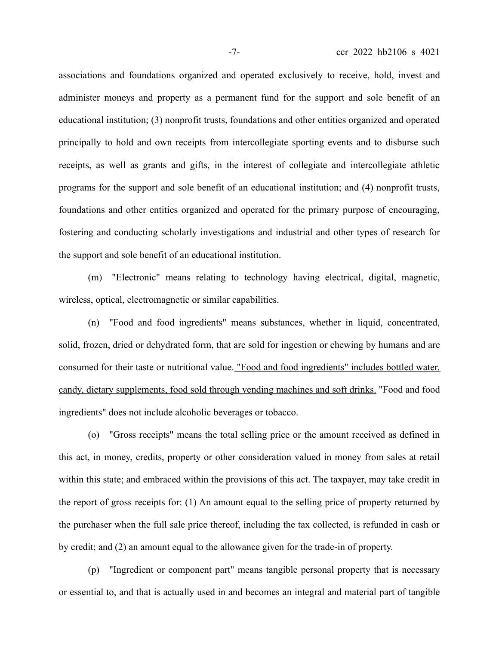associations and foundations organized and operated exclusively to receive, hold, invest and administer moneys and property as a permanent fund for the support and sole benefit of an educational institution; (3) nonprofit trusts, foundations and other entities organized and operated principally to hold and own receipts from intercollegiate sporting events and to disburse such receipts, as well as grants and gifts, in the interest of collegiate and intercollegiate athletic programs for the support and sole benefit of an educational institution; and (4) nonprofit trusts, foundations and other entities organized and operated for the primary purpose of encouraging, fostering and conducting scholarly investigations and industrial and other types of research for the support and sole benefit of an educational institution.

(m) "Electronic" means relating to technology having electrical, digital, magnetic, wireless, optical, electromagnetic or similar capabilities.

(n) "Food and food ingredients" means substances, whether in liquid, concentrated, solid, frozen, dried or dehydrated form, that are sold for ingestion or chewing by humans and are consumed for their taste or nutritional value. "Food and food ingredients" includes bottled water, candy, dietary supplements, food sold through vending machines and soft drinks. "Food and food ingredients" does not include alcoholic beverages or tobacco.

(o) "Gross receipts" means the total selling price or the amount received as defined in this act, in money, credits, property or other consideration valued in money from sales at retail within this state; and embraced within the provisions of this act. The taxpayer, may take credit in the report of gross receipts for: (1) An amount equal to the selling price of property returned by the purchaser when the full sale price thereof, including the tax collected, is refunded in cash or by credit; and (2) an amount equal to the allowance given for the trade-in of property.

(p) "Ingredient or component part" means tangible personal property that is necessary or essential to, and that is actually used in and becomes an integral and material part of tangible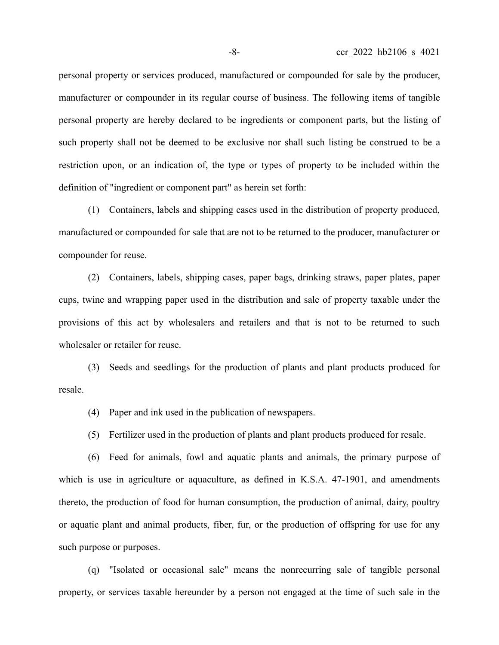personal property or services produced, manufactured or compounded for sale by the producer, manufacturer or compounder in its regular course of business. The following items of tangible personal property are hereby declared to be ingredients or component parts, but the listing of such property shall not be deemed to be exclusive nor shall such listing be construed to be a restriction upon, or an indication of, the type or types of property to be included within the definition of "ingredient or component part" as herein set forth:

(1) Containers, labels and shipping cases used in the distribution of property produced, manufactured or compounded for sale that are not to be returned to the producer, manufacturer or compounder for reuse.

(2) Containers, labels, shipping cases, paper bags, drinking straws, paper plates, paper cups, twine and wrapping paper used in the distribution and sale of property taxable under the provisions of this act by wholesalers and retailers and that is not to be returned to such wholesaler or retailer for reuse.

(3) Seeds and seedlings for the production of plants and plant products produced for resale.

(4) Paper and ink used in the publication of newspapers.

(5) Fertilizer used in the production of plants and plant products produced for resale.

(6) Feed for animals, fowl and aquatic plants and animals, the primary purpose of which is use in agriculture or aquaculture, as defined in K.S.A. 47-1901, and amendments thereto, the production of food for human consumption, the production of animal, dairy, poultry or aquatic plant and animal products, fiber, fur, or the production of offspring for use for any such purpose or purposes.

(q) "Isolated or occasional sale" means the nonrecurring sale of tangible personal property, or services taxable hereunder by a person not engaged at the time of such sale in the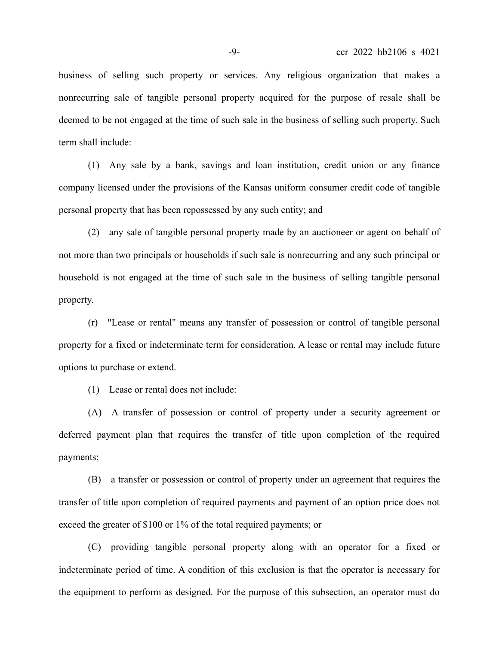business of selling such property or services. Any religious organization that makes a nonrecurring sale of tangible personal property acquired for the purpose of resale shall be deemed to be not engaged at the time of such sale in the business of selling such property. Such term shall include:

(1) Any sale by a bank, savings and loan institution, credit union or any finance company licensed under the provisions of the Kansas uniform consumer credit code of tangible personal property that has been repossessed by any such entity; and

(2) any sale of tangible personal property made by an auctioneer or agent on behalf of not more than two principals or households if such sale is nonrecurring and any such principal or household is not engaged at the time of such sale in the business of selling tangible personal property.

(r) "Lease or rental" means any transfer of possession or control of tangible personal property for a fixed or indeterminate term for consideration. A lease or rental may include future options to purchase or extend.

(1) Lease or rental does not include:

(A) A transfer of possession or control of property under a security agreement or deferred payment plan that requires the transfer of title upon completion of the required payments;

(B) a transfer or possession or control of property under an agreement that requires the transfer of title upon completion of required payments and payment of an option price does not exceed the greater of \$100 or 1% of the total required payments; or

(C) providing tangible personal property along with an operator for a fixed or indeterminate period of time. A condition of this exclusion is that the operator is necessary for the equipment to perform as designed. For the purpose of this subsection, an operator must do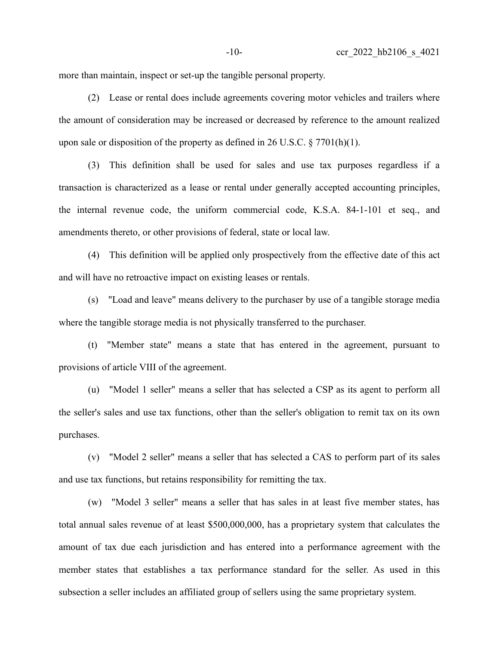more than maintain, inspect or set-up the tangible personal property.

(2) Lease or rental does include agreements covering motor vehicles and trailers where the amount of consideration may be increased or decreased by reference to the amount realized upon sale or disposition of the property as defined in 26 U.S.C.  $\S 7701(h)(1)$ .

(3) This definition shall be used for sales and use tax purposes regardless if a transaction is characterized as a lease or rental under generally accepted accounting principles, the internal revenue code, the uniform commercial code, K.S.A. 84-1-101 et seq., and amendments thereto, or other provisions of federal, state or local law.

(4) This definition will be applied only prospectively from the effective date of this act and will have no retroactive impact on existing leases or rentals.

(s) "Load and leave" means delivery to the purchaser by use of a tangible storage media where the tangible storage media is not physically transferred to the purchaser.

(t) "Member state" means a state that has entered in the agreement, pursuant to provisions of article VIII of the agreement.

(u) "Model 1 seller" means a seller that has selected a CSP as its agent to perform all the seller's sales and use tax functions, other than the seller's obligation to remit tax on its own purchases.

(v) "Model 2 seller" means a seller that has selected a CAS to perform part of its sales and use tax functions, but retains responsibility for remitting the tax.

(w) "Model 3 seller" means a seller that has sales in at least five member states, has total annual sales revenue of at least \$500,000,000, has a proprietary system that calculates the amount of tax due each jurisdiction and has entered into a performance agreement with the member states that establishes a tax performance standard for the seller. As used in this subsection a seller includes an affiliated group of sellers using the same proprietary system.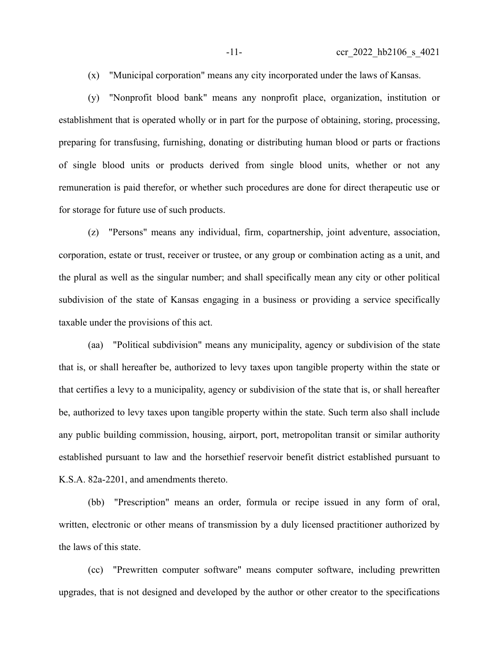(x) "Municipal corporation" means any city incorporated under the laws of Kansas.

(y) "Nonprofit blood bank" means any nonprofit place, organization, institution or establishment that is operated wholly or in part for the purpose of obtaining, storing, processing, preparing for transfusing, furnishing, donating or distributing human blood or parts or fractions of single blood units or products derived from single blood units, whether or not any remuneration is paid therefor, or whether such procedures are done for direct therapeutic use or for storage for future use of such products.

(z) "Persons" means any individual, firm, copartnership, joint adventure, association, corporation, estate or trust, receiver or trustee, or any group or combination acting as a unit, and the plural as well as the singular number; and shall specifically mean any city or other political subdivision of the state of Kansas engaging in a business or providing a service specifically taxable under the provisions of this act.

(aa) "Political subdivision" means any municipality, agency or subdivision of the state that is, or shall hereafter be, authorized to levy taxes upon tangible property within the state or that certifies a levy to a municipality, agency or subdivision of the state that is, or shall hereafter be, authorized to levy taxes upon tangible property within the state. Such term also shall include any public building commission, housing, airport, port, metropolitan transit or similar authority established pursuant to law and the horsethief reservoir benefit district established pursuant to K.S.A. 82a-2201, and amendments thereto.

(bb) "Prescription" means an order, formula or recipe issued in any form of oral, written, electronic or other means of transmission by a duly licensed practitioner authorized by the laws of this state.

(cc) "Prewritten computer software" means computer software, including prewritten upgrades, that is not designed and developed by the author or other creator to the specifications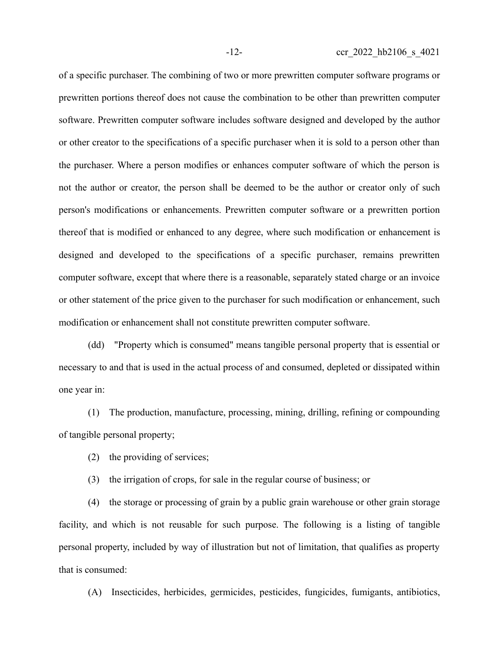of a specific purchaser. The combining of two or more prewritten computer software programs or prewritten portions thereof does not cause the combination to be other than prewritten computer software. Prewritten computer software includes software designed and developed by the author or other creator to the specifications of a specific purchaser when it is sold to a person other than the purchaser. Where a person modifies or enhances computer software of which the person is not the author or creator, the person shall be deemed to be the author or creator only of such person's modifications or enhancements. Prewritten computer software or a prewritten portion thereof that is modified or enhanced to any degree, where such modification or enhancement is designed and developed to the specifications of a specific purchaser, remains prewritten computer software, except that where there is a reasonable, separately stated charge or an invoice or other statement of the price given to the purchaser for such modification or enhancement, such modification or enhancement shall not constitute prewritten computer software.

(dd) "Property which is consumed" means tangible personal property that is essential or necessary to and that is used in the actual process of and consumed, depleted or dissipated within one year in:

(1) The production, manufacture, processing, mining, drilling, refining or compounding of tangible personal property;

(2) the providing of services;

(3) the irrigation of crops, for sale in the regular course of business; or

(4) the storage or processing of grain by a public grain warehouse or other grain storage facility, and which is not reusable for such purpose. The following is a listing of tangible personal property, included by way of illustration but not of limitation, that qualifies as property that is consumed:

(A) Insecticides, herbicides, germicides, pesticides, fungicides, fumigants, antibiotics,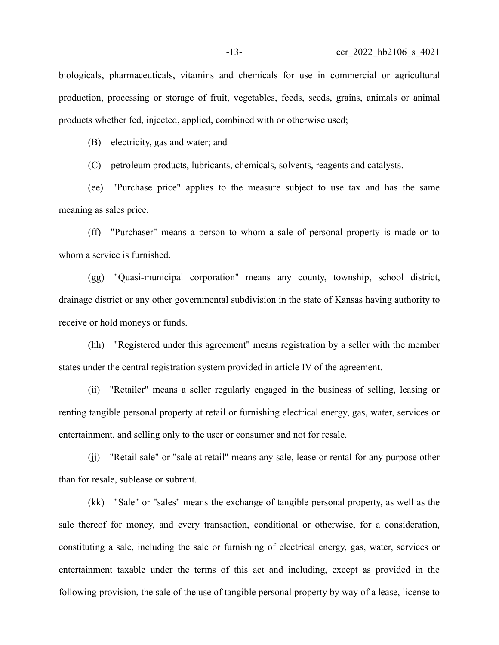biologicals, pharmaceuticals, vitamins and chemicals for use in commercial or agricultural production, processing or storage of fruit, vegetables, feeds, seeds, grains, animals or animal products whether fed, injected, applied, combined with or otherwise used;

(B) electricity, gas and water; and

(C) petroleum products, lubricants, chemicals, solvents, reagents and catalysts.

(ee) "Purchase price" applies to the measure subject to use tax and has the same meaning as sales price.

(ff) "Purchaser" means a person to whom a sale of personal property is made or to whom a service is furnished.

(gg) "Quasi-municipal corporation" means any county, township, school district, drainage district or any other governmental subdivision in the state of Kansas having authority to receive or hold moneys or funds.

(hh) "Registered under this agreement" means registration by a seller with the member states under the central registration system provided in article IV of the agreement.

(ii) "Retailer" means a seller regularly engaged in the business of selling, leasing or renting tangible personal property at retail or furnishing electrical energy, gas, water, services or entertainment, and selling only to the user or consumer and not for resale.

(jj) "Retail sale" or "sale at retail" means any sale, lease or rental for any purpose other than for resale, sublease or subrent.

(kk) "Sale" or "sales" means the exchange of tangible personal property, as well as the sale thereof for money, and every transaction, conditional or otherwise, for a consideration, constituting a sale, including the sale or furnishing of electrical energy, gas, water, services or entertainment taxable under the terms of this act and including, except as provided in the following provision, the sale of the use of tangible personal property by way of a lease, license to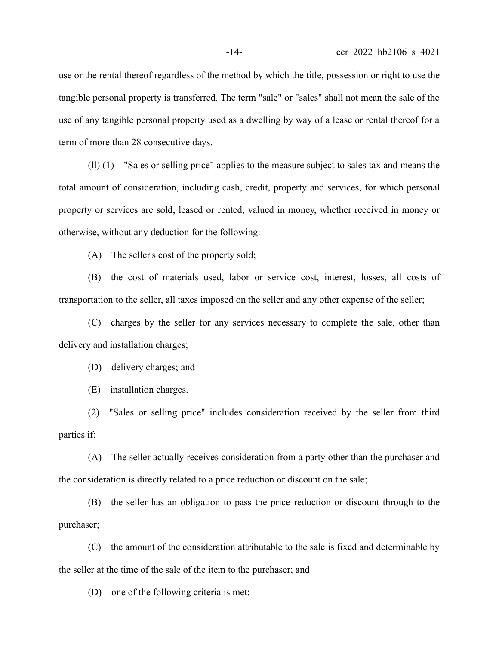use or the rental thereof regardless of the method by which the title, possession or right to use the tangible personal property is transferred. The term "sale" or "sales" shall not mean the sale of the use of any tangible personal property used as a dwelling by way of a lease or rental thereof for a term of more than 28 consecutive days.

(ll) (1) "Sales or selling price" applies to the measure subject to sales tax and means the total amount of consideration, including cash, credit, property and services, for which personal property or services are sold, leased or rented, valued in money, whether received in money or otherwise, without any deduction for the following:

(A) The seller's cost of the property sold;

(B) the cost of materials used, labor or service cost, interest, losses, all costs of transportation to the seller, all taxes imposed on the seller and any other expense of the seller;

(C) charges by the seller for any services necessary to complete the sale, other than delivery and installation charges;

(D) delivery charges; and

(E) installation charges.

(2) "Sales or selling price" includes consideration received by the seller from third parties if:

(A) The seller actually receives consideration from a party other than the purchaser and the consideration is directly related to a price reduction or discount on the sale;

(B) the seller has an obligation to pass the price reduction or discount through to the purchaser;

(C) the amount of the consideration attributable to the sale is fixed and determinable by the seller at the time of the sale of the item to the purchaser; and

(D) one of the following criteria is met: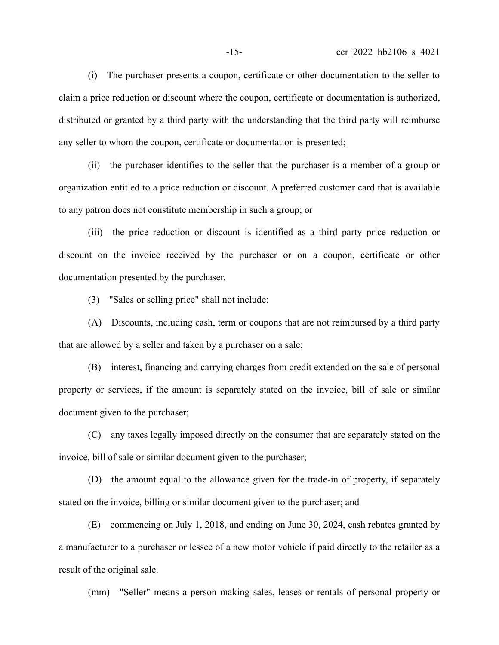(i) The purchaser presents a coupon, certificate or other documentation to the seller to claim a price reduction or discount where the coupon, certificate or documentation is authorized, distributed or granted by a third party with the understanding that the third party will reimburse any seller to whom the coupon, certificate or documentation is presented;

(ii) the purchaser identifies to the seller that the purchaser is a member of a group or organization entitled to a price reduction or discount. A preferred customer card that is available to any patron does not constitute membership in such a group; or

(iii) the price reduction or discount is identified as a third party price reduction or discount on the invoice received by the purchaser or on a coupon, certificate or other documentation presented by the purchaser.

(3) "Sales or selling price" shall not include:

(A) Discounts, including cash, term or coupons that are not reimbursed by a third party that are allowed by a seller and taken by a purchaser on a sale;

(B) interest, financing and carrying charges from credit extended on the sale of personal property or services, if the amount is separately stated on the invoice, bill of sale or similar document given to the purchaser;

(C) any taxes legally imposed directly on the consumer that are separately stated on the invoice, bill of sale or similar document given to the purchaser;

(D) the amount equal to the allowance given for the trade-in of property, if separately stated on the invoice, billing or similar document given to the purchaser; and

(E) commencing on July 1, 2018, and ending on June 30, 2024, cash rebates granted by a manufacturer to a purchaser or lessee of a new motor vehicle if paid directly to the retailer as a result of the original sale.

(mm) "Seller" means a person making sales, leases or rentals of personal property or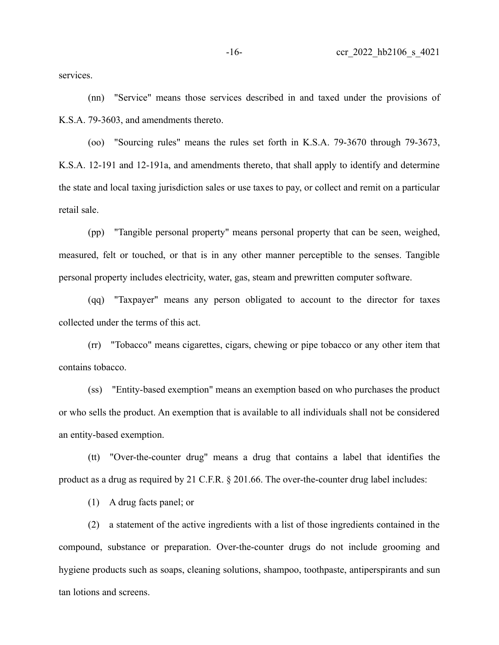services.

(nn) "Service" means those services described in and taxed under the provisions of K.S.A. 79-3603, and amendments thereto.

(oo) "Sourcing rules" means the rules set forth in K.S.A. 79-3670 through 79-3673, K.S.A. 12-191 and 12-191a, and amendments thereto, that shall apply to identify and determine the state and local taxing jurisdiction sales or use taxes to pay, or collect and remit on a particular retail sale.

(pp) "Tangible personal property" means personal property that can be seen, weighed, measured, felt or touched, or that is in any other manner perceptible to the senses. Tangible personal property includes electricity, water, gas, steam and prewritten computer software.

(qq) "Taxpayer" means any person obligated to account to the director for taxes collected under the terms of this act.

(rr) "Tobacco" means cigarettes, cigars, chewing or pipe tobacco or any other item that contains tobacco.

(ss) "Entity-based exemption" means an exemption based on who purchases the product or who sells the product. An exemption that is available to all individuals shall not be considered an entity-based exemption.

(tt) "Over-the-counter drug" means a drug that contains a label that identifies the product as a drug as required by 21 C.F.R. § 201.66. The over-the-counter drug label includes:

(1) A drug facts panel; or

(2) a statement of the active ingredients with a list of those ingredients contained in the compound, substance or preparation. Over-the-counter drugs do not include grooming and hygiene products such as soaps, cleaning solutions, shampoo, toothpaste, antiperspirants and sun tan lotions and screens.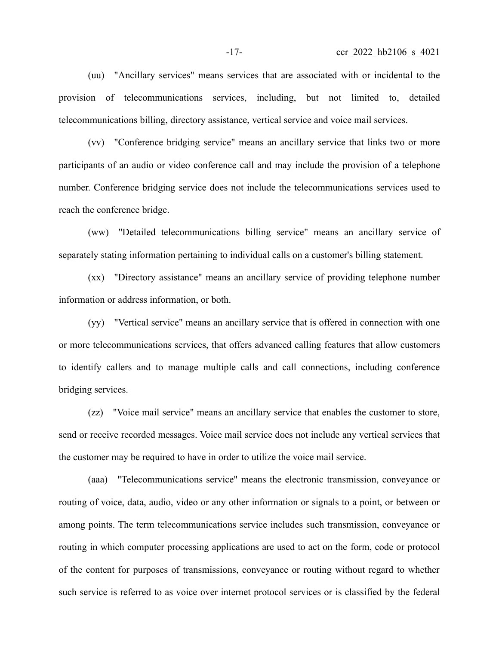(uu) "Ancillary services" means services that are associated with or incidental to the provision of telecommunications services, including, but not limited to, detailed telecommunications billing, directory assistance, vertical service and voice mail services.

(vv) "Conference bridging service" means an ancillary service that links two or more participants of an audio or video conference call and may include the provision of a telephone number. Conference bridging service does not include the telecommunications services used to reach the conference bridge.

(ww) "Detailed telecommunications billing service" means an ancillary service of separately stating information pertaining to individual calls on a customer's billing statement.

(xx) "Directory assistance" means an ancillary service of providing telephone number information or address information, or both.

(yy) "Vertical service" means an ancillary service that is offered in connection with one or more telecommunications services, that offers advanced calling features that allow customers to identify callers and to manage multiple calls and call connections, including conference bridging services.

(zz) "Voice mail service" means an ancillary service that enables the customer to store, send or receive recorded messages. Voice mail service does not include any vertical services that the customer may be required to have in order to utilize the voice mail service.

(aaa) "Telecommunications service" means the electronic transmission, conveyance or routing of voice, data, audio, video or any other information or signals to a point, or between or among points. The term telecommunications service includes such transmission, conveyance or routing in which computer processing applications are used to act on the form, code or protocol of the content for purposes of transmissions, conveyance or routing without regard to whether such service is referred to as voice over internet protocol services or is classified by the federal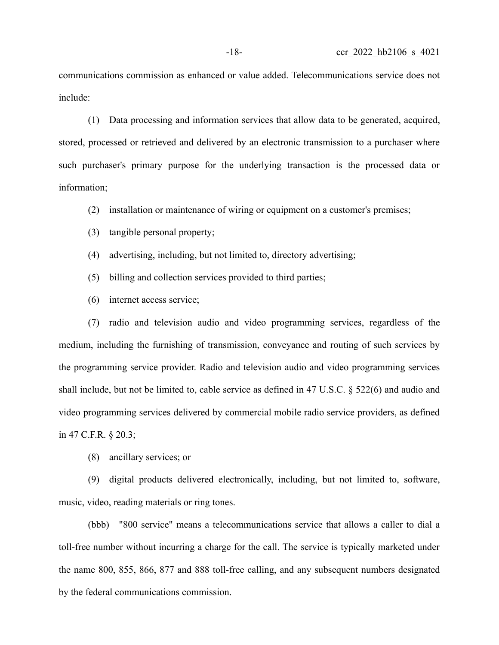communications commission as enhanced or value added. Telecommunications service does not include:

(1) Data processing and information services that allow data to be generated, acquired, stored, processed or retrieved and delivered by an electronic transmission to a purchaser where such purchaser's primary purpose for the underlying transaction is the processed data or information;

(2) installation or maintenance of wiring or equipment on a customer's premises;

- (3) tangible personal property;
- (4) advertising, including, but not limited to, directory advertising;
- (5) billing and collection services provided to third parties;
- (6) internet access service;

(7) radio and television audio and video programming services, regardless of the medium, including the furnishing of transmission, conveyance and routing of such services by the programming service provider. Radio and television audio and video programming services shall include, but not be limited to, cable service as defined in 47 U.S.C. § 522(6) and audio and video programming services delivered by commercial mobile radio service providers, as defined in 47 C.F.R. § 20.3;

(8) ancillary services; or

(9) digital products delivered electronically, including, but not limited to, software, music, video, reading materials or ring tones.

(bbb) "800 service" means a telecommunications service that allows a caller to dial a toll-free number without incurring a charge for the call. The service is typically marketed under the name 800, 855, 866, 877 and 888 toll-free calling, and any subsequent numbers designated by the federal communications commission.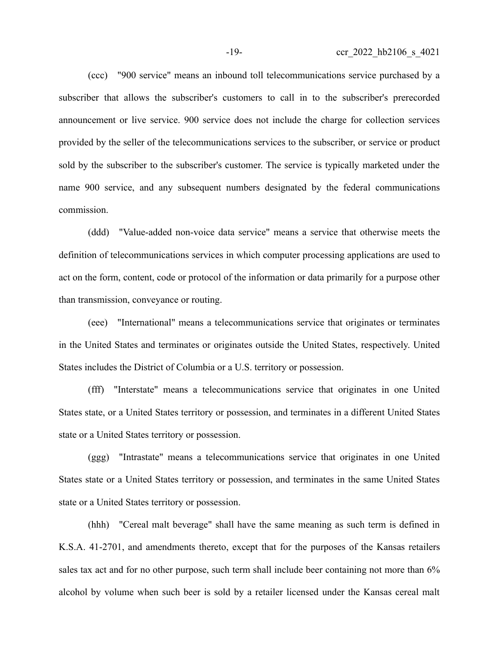(ccc) "900 service" means an inbound toll telecommunications service purchased by a subscriber that allows the subscriber's customers to call in to the subscriber's prerecorded announcement or live service. 900 service does not include the charge for collection services provided by the seller of the telecommunications services to the subscriber, or service or product sold by the subscriber to the subscriber's customer. The service is typically marketed under the name 900 service, and any subsequent numbers designated by the federal communications commission.

(ddd) "Value-added non-voice data service" means a service that otherwise meets the definition of telecommunications services in which computer processing applications are used to act on the form, content, code or protocol of the information or data primarily for a purpose other than transmission, conveyance or routing.

(eee) "International" means a telecommunications service that originates or terminates in the United States and terminates or originates outside the United States, respectively. United States includes the District of Columbia or a U.S. territory or possession.

(fff) "Interstate" means a telecommunications service that originates in one United States state, or a United States territory or possession, and terminates in a different United States state or a United States territory or possession.

(ggg) "Intrastate" means a telecommunications service that originates in one United States state or a United States territory or possession, and terminates in the same United States state or a United States territory or possession.

(hhh) "Cereal malt beverage" shall have the same meaning as such term is defined in K.S.A. 41-2701, and amendments thereto, except that for the purposes of the Kansas retailers sales tax act and for no other purpose, such term shall include beer containing not more than 6% alcohol by volume when such beer is sold by a retailer licensed under the Kansas cereal malt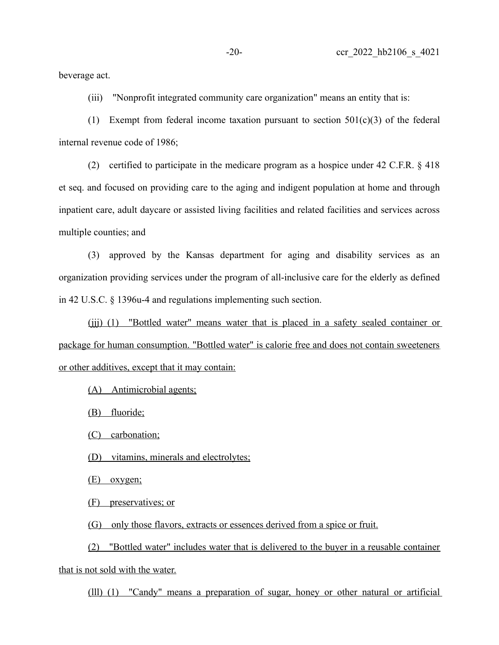beverage act.

(iii) "Nonprofit integrated community care organization" means an entity that is:

(1) Exempt from federal income taxation pursuant to section 501(c)(3) of the federal internal revenue code of 1986;

(2) certified to participate in the medicare program as a hospice under 42 C.F.R. § 418 et seq. and focused on providing care to the aging and indigent population at home and through inpatient care, adult daycare or assisted living facilities and related facilities and services across multiple counties; and

(3) approved by the Kansas department for aging and disability services as an organization providing services under the program of all-inclusive care for the elderly as defined in 42 U.S.C. § 1396u-4 and regulations implementing such section.

(iii) (1) "Bottled water" means water that is placed in a safety sealed container or package for human consumption. "Bottled water" is calorie free and does not contain sweeteners or other additives, except that it may contain:

(A) Antimicrobial agents;

(B) fluoride;

(C) carbonation;

(D) vitamins, minerals and electrolytes;

(E) oxygen;

(F) preservatives; or

(G) only those flavors, extracts or essences derived from a spice or fruit.

(2) "Bottled water" includes water that is delivered to the buyer in a reusable container that is not sold with the water.

(lll) (1) "Candy" means a preparation of sugar, honey or other natural or artificial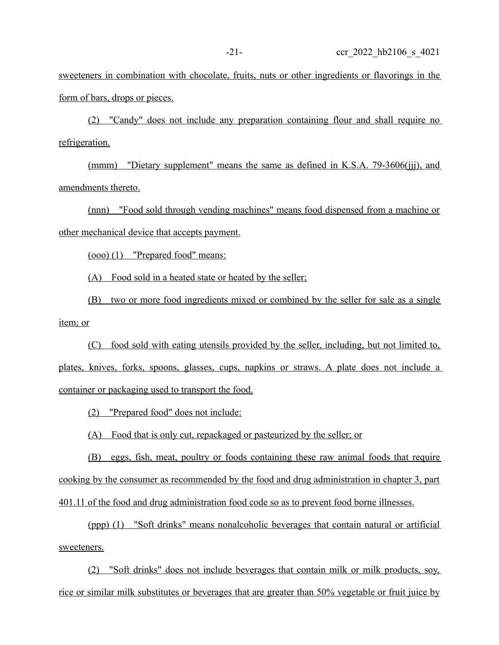sweeteners in combination with chocolate, fruits, nuts or other ingredients or flavorings in the form of bars, drops or pieces.

(2) "Candy" does not include any preparation containing flour and shall require no refrigeration.

(mmm) "Dietary supplement" means the same as defined in K.S.A. 79-3606(jjj), and amendments thereto.

(nnn) "Food sold through vending machines" means food dispensed from a machine or other mechanical device that accepts payment.

(ooo) (1) "Prepared food" means:

(A) Food sold in a heated state or heated by the seller;

(B) two or more food ingredients mixed or combined by the seller for sale as a single item; or

(C) food sold with eating utensils provided by the seller, including, but not limited to, plates, knives, forks, spoons, glasses, cups, napkins or straws. A plate does not include a container or packaging used to transport the food.

(2) "Prepared food" does not include:

(A) Food that is only cut, repackaged or pasteurized by the seller; or

(B) eggs, fish, meat, poultry or foods containing these raw animal foods that require cooking by the consumer as recommended by the food and drug administration in chapter 3, part 401.11 of the food and drug administration food code so as to prevent food borne illnesses.

(ppp) (1) "Soft drinks" means nonalcoholic beverages that contain natural or artificial sweeteners.

(2) "Soft drinks" does not include beverages that contain milk or milk products, soy, rice or similar milk substitutes or beverages that are greater than 50% vegetable or fruit juice by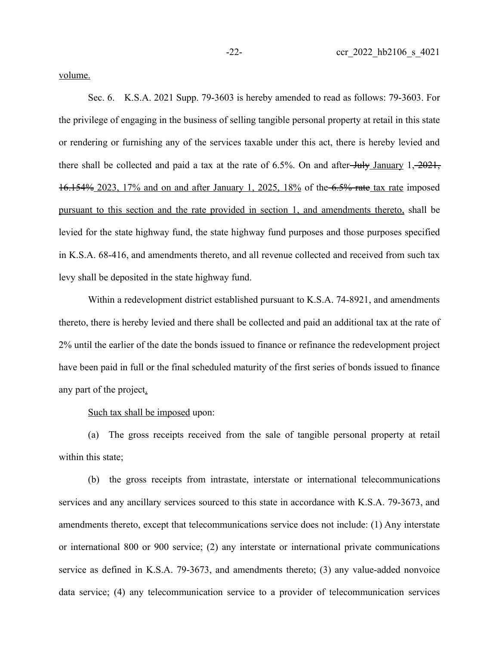volume.

Sec. 6. K.S.A. 2021 Supp. 79-3603 is hereby amended to read as follows: 79-3603. For the privilege of engaging in the business of selling tangible personal property at retail in this state or rendering or furnishing any of the services taxable under this act, there is hereby levied and there shall be collected and paid a tax at the rate of  $6.5\%$ . On and after- $\frac{\text{July\; January 1, -2021}}{1}$ 16.154% 2023, 17% and on and after January 1, 2025, 18% of the 6.5% rate tax rate imposed pursuant to this section and the rate provided in section 1, and amendments thereto, shall be levied for the state highway fund, the state highway fund purposes and those purposes specified in K.S.A. 68-416, and amendments thereto, and all revenue collected and received from such tax levy shall be deposited in the state highway fund.

Within a redevelopment district established pursuant to K.S.A. 74-8921, and amendments thereto, there is hereby levied and there shall be collected and paid an additional tax at the rate of 2% until the earlier of the date the bonds issued to finance or refinance the redevelopment project have been paid in full or the final scheduled maturity of the first series of bonds issued to finance any part of the project.

Such tax shall be imposed upon:

(a) The gross receipts received from the sale of tangible personal property at retail within this state;

(b) the gross receipts from intrastate, interstate or international telecommunications services and any ancillary services sourced to this state in accordance with K.S.A. 79-3673, and amendments thereto, except that telecommunications service does not include: (1) Any interstate or international 800 or 900 service; (2) any interstate or international private communications service as defined in K.S.A. 79-3673, and amendments thereto; (3) any value-added nonvoice data service; (4) any telecommunication service to a provider of telecommunication services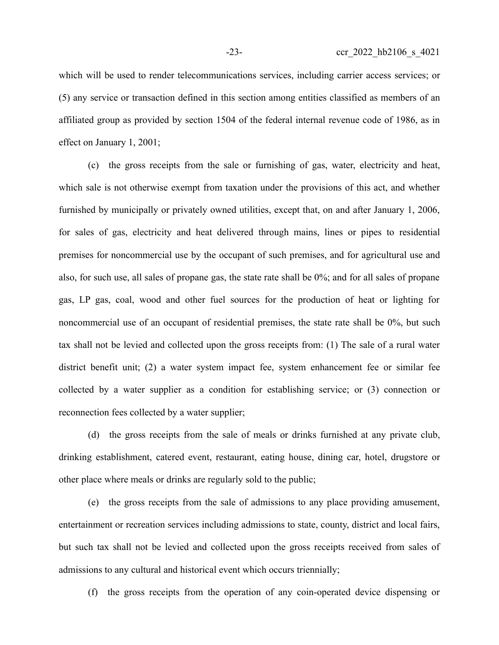which will be used to render telecommunications services, including carrier access services; or (5) any service or transaction defined in this section among entities classified as members of an affiliated group as provided by section 1504 of the federal internal revenue code of 1986, as in effect on January 1, 2001;

(c) the gross receipts from the sale or furnishing of gas, water, electricity and heat, which sale is not otherwise exempt from taxation under the provisions of this act, and whether furnished by municipally or privately owned utilities, except that, on and after January 1, 2006, for sales of gas, electricity and heat delivered through mains, lines or pipes to residential premises for noncommercial use by the occupant of such premises, and for agricultural use and also, for such use, all sales of propane gas, the state rate shall be 0%; and for all sales of propane gas, LP gas, coal, wood and other fuel sources for the production of heat or lighting for noncommercial use of an occupant of residential premises, the state rate shall be 0%, but such tax shall not be levied and collected upon the gross receipts from: (1) The sale of a rural water district benefit unit; (2) a water system impact fee, system enhancement fee or similar fee collected by a water supplier as a condition for establishing service; or (3) connection or reconnection fees collected by a water supplier;

(d) the gross receipts from the sale of meals or drinks furnished at any private club, drinking establishment, catered event, restaurant, eating house, dining car, hotel, drugstore or other place where meals or drinks are regularly sold to the public;

(e) the gross receipts from the sale of admissions to any place providing amusement, entertainment or recreation services including admissions to state, county, district and local fairs, but such tax shall not be levied and collected upon the gross receipts received from sales of admissions to any cultural and historical event which occurs triennially;

(f) the gross receipts from the operation of any coin-operated device dispensing or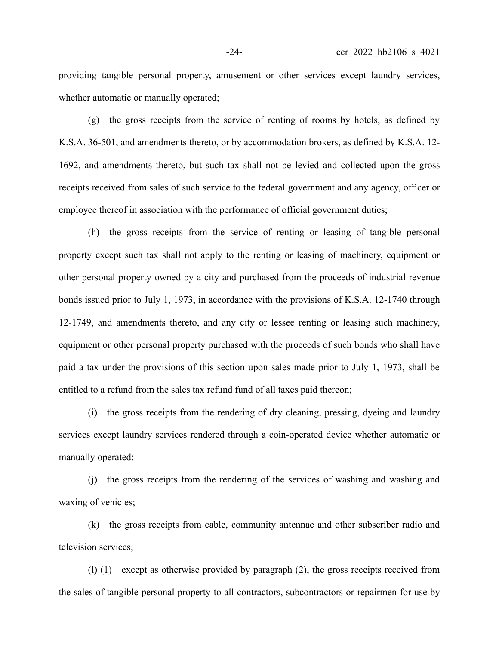providing tangible personal property, amusement or other services except laundry services, whether automatic or manually operated;

(g) the gross receipts from the service of renting of rooms by hotels, as defined by K.S.A. 36-501, and amendments thereto, or by accommodation brokers, as defined by K.S.A. 12- 1692, and amendments thereto, but such tax shall not be levied and collected upon the gross receipts received from sales of such service to the federal government and any agency, officer or employee thereof in association with the performance of official government duties;

(h) the gross receipts from the service of renting or leasing of tangible personal property except such tax shall not apply to the renting or leasing of machinery, equipment or other personal property owned by a city and purchased from the proceeds of industrial revenue bonds issued prior to July 1, 1973, in accordance with the provisions of K.S.A. 12-1740 through 12-1749, and amendments thereto, and any city or lessee renting or leasing such machinery, equipment or other personal property purchased with the proceeds of such bonds who shall have paid a tax under the provisions of this section upon sales made prior to July 1, 1973, shall be entitled to a refund from the sales tax refund fund of all taxes paid thereon;

(i) the gross receipts from the rendering of dry cleaning, pressing, dyeing and laundry services except laundry services rendered through a coin-operated device whether automatic or manually operated;

(j) the gross receipts from the rendering of the services of washing and washing and waxing of vehicles;

(k) the gross receipts from cable, community antennae and other subscriber radio and television services;

(l) (1) except as otherwise provided by paragraph (2), the gross receipts received from the sales of tangible personal property to all contractors, subcontractors or repairmen for use by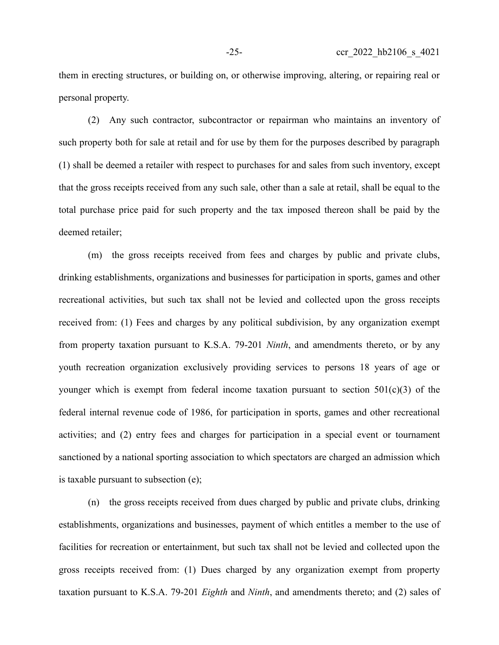them in erecting structures, or building on, or otherwise improving, altering, or repairing real or personal property.

(2) Any such contractor, subcontractor or repairman who maintains an inventory of such property both for sale at retail and for use by them for the purposes described by paragraph (1) shall be deemed a retailer with respect to purchases for and sales from such inventory, except that the gross receipts received from any such sale, other than a sale at retail, shall be equal to the total purchase price paid for such property and the tax imposed thereon shall be paid by the deemed retailer;

(m) the gross receipts received from fees and charges by public and private clubs, drinking establishments, organizations and businesses for participation in sports, games and other recreational activities, but such tax shall not be levied and collected upon the gross receipts received from: (1) Fees and charges by any political subdivision, by any organization exempt from property taxation pursuant to K.S.A. 79-201 *Ninth*, and amendments thereto, or by any youth recreation organization exclusively providing services to persons 18 years of age or younger which is exempt from federal income taxation pursuant to section  $501(c)(3)$  of the federal internal revenue code of 1986, for participation in sports, games and other recreational activities; and (2) entry fees and charges for participation in a special event or tournament sanctioned by a national sporting association to which spectators are charged an admission which is taxable pursuant to subsection (e);

(n) the gross receipts received from dues charged by public and private clubs, drinking establishments, organizations and businesses, payment of which entitles a member to the use of facilities for recreation or entertainment, but such tax shall not be levied and collected upon the gross receipts received from: (1) Dues charged by any organization exempt from property taxation pursuant to K.S.A. 79-201 *Eighth* and *Ninth*, and amendments thereto; and (2) sales of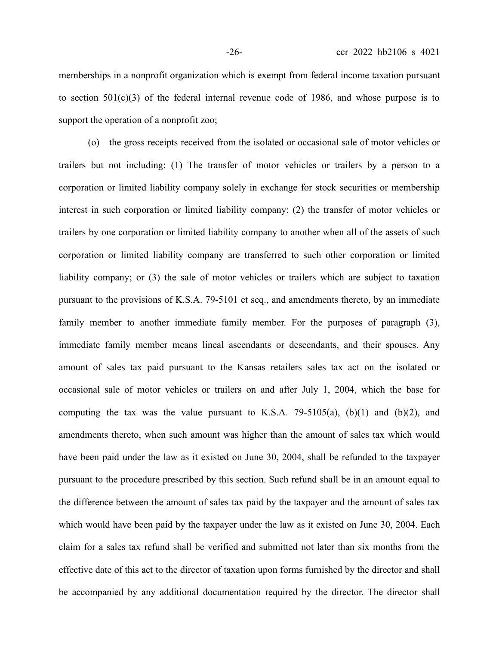memberships in a nonprofit organization which is exempt from federal income taxation pursuant to section  $501(c)(3)$  of the federal internal revenue code of 1986, and whose purpose is to support the operation of a nonprofit zoo;

(o) the gross receipts received from the isolated or occasional sale of motor vehicles or trailers but not including: (1) The transfer of motor vehicles or trailers by a person to a corporation or limited liability company solely in exchange for stock securities or membership interest in such corporation or limited liability company; (2) the transfer of motor vehicles or trailers by one corporation or limited liability company to another when all of the assets of such corporation or limited liability company are transferred to such other corporation or limited liability company; or (3) the sale of motor vehicles or trailers which are subject to taxation pursuant to the provisions of K.S.A. 79-5101 et seq., and amendments thereto, by an immediate family member to another immediate family member. For the purposes of paragraph (3), immediate family member means lineal ascendants or descendants, and their spouses. Any amount of sales tax paid pursuant to the Kansas retailers sales tax act on the isolated or occasional sale of motor vehicles or trailers on and after July 1, 2004, which the base for computing the tax was the value pursuant to K.S.A. 79-5105(a),  $(b)(1)$  and  $(b)(2)$ , and amendments thereto, when such amount was higher than the amount of sales tax which would have been paid under the law as it existed on June 30, 2004, shall be refunded to the taxpayer pursuant to the procedure prescribed by this section. Such refund shall be in an amount equal to the difference between the amount of sales tax paid by the taxpayer and the amount of sales tax which would have been paid by the taxpayer under the law as it existed on June 30, 2004. Each claim for a sales tax refund shall be verified and submitted not later than six months from the effective date of this act to the director of taxation upon forms furnished by the director and shall be accompanied by any additional documentation required by the director. The director shall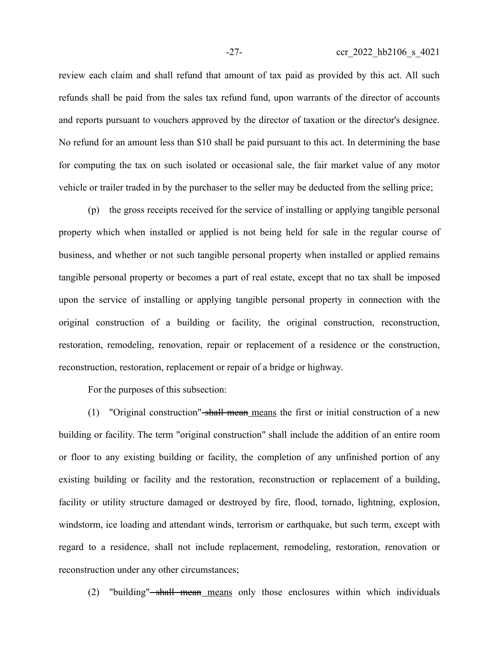review each claim and shall refund that amount of tax paid as provided by this act. All such refunds shall be paid from the sales tax refund fund, upon warrants of the director of accounts and reports pursuant to vouchers approved by the director of taxation or the director's designee. No refund for an amount less than \$10 shall be paid pursuant to this act. In determining the base for computing the tax on such isolated or occasional sale, the fair market value of any motor vehicle or trailer traded in by the purchaser to the seller may be deducted from the selling price;

(p) the gross receipts received for the service of installing or applying tangible personal property which when installed or applied is not being held for sale in the regular course of business, and whether or not such tangible personal property when installed or applied remains tangible personal property or becomes a part of real estate, except that no tax shall be imposed upon the service of installing or applying tangible personal property in connection with the original construction of a building or facility, the original construction, reconstruction, restoration, remodeling, renovation, repair or replacement of a residence or the construction, reconstruction, restoration, replacement or repair of a bridge or highway.

For the purposes of this subsection:

(1) "Original construction" shall mean means the first or initial construction of a new building or facility. The term "original construction" shall include the addition of an entire room or floor to any existing building or facility, the completion of any unfinished portion of any existing building or facility and the restoration, reconstruction or replacement of a building, facility or utility structure damaged or destroyed by fire, flood, tornado, lightning, explosion, windstorm, ice loading and attendant winds, terrorism or earthquake, but such term, except with regard to a residence, shall not include replacement, remodeling, restoration, renovation or reconstruction under any other circumstances;

(2) "building" $-s$ hall mean means only those enclosures within which individuals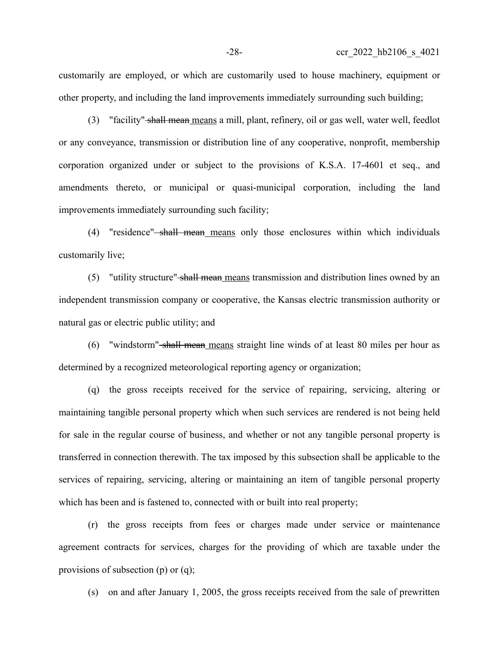customarily are employed, or which are customarily used to house machinery, equipment or other property, and including the land improvements immediately surrounding such building;

(3) "facility" shall mean means a mill, plant, refinery, oil or gas well, water well, feedlot or any conveyance, transmission or distribution line of any cooperative, nonprofit, membership corporation organized under or subject to the provisions of K.S.A. 17-4601 et seq., and amendments thereto, or municipal or quasi-municipal corporation, including the land improvements immediately surrounding such facility;

(4) "residence" shall mean means only those enclosures within which individuals customarily live;

(5) "utility structure" shall mean means transmission and distribution lines owned by an independent transmission company or cooperative, the Kansas electric transmission authority or natural gas or electric public utility; and

(6) "windstorm" shall mean means straight line winds of at least 80 miles per hour as determined by a recognized meteorological reporting agency or organization;

(q) the gross receipts received for the service of repairing, servicing, altering or maintaining tangible personal property which when such services are rendered is not being held for sale in the regular course of business, and whether or not any tangible personal property is transferred in connection therewith. The tax imposed by this subsection shall be applicable to the services of repairing, servicing, altering or maintaining an item of tangible personal property which has been and is fastened to, connected with or built into real property;

(r) the gross receipts from fees or charges made under service or maintenance agreement contracts for services, charges for the providing of which are taxable under the provisions of subsection (p) or (q);

(s) on and after January 1, 2005, the gross receipts received from the sale of prewritten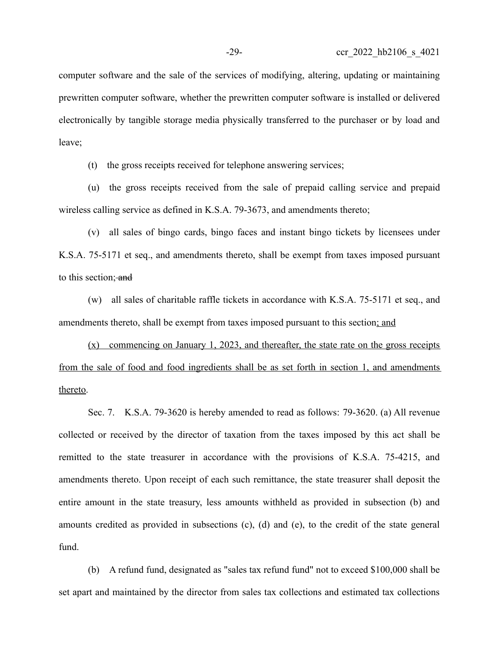computer software and the sale of the services of modifying, altering, updating or maintaining prewritten computer software, whether the prewritten computer software is installed or delivered electronically by tangible storage media physically transferred to the purchaser or by load and leave;

(t) the gross receipts received for telephone answering services;

(u) the gross receipts received from the sale of prepaid calling service and prepaid wireless calling service as defined in K.S.A. 79-3673, and amendments thereto;

(v) all sales of bingo cards, bingo faces and instant bingo tickets by licensees under K.S.A. 75-5171 et seq., and amendments thereto, shall be exempt from taxes imposed pursuant to this section; and

(w) all sales of charitable raffle tickets in accordance with K.S.A. 75-5171 et seq., and amendments thereto, shall be exempt from taxes imposed pursuant to this section; and

 $(x)$  commencing on January 1, 2023, and thereafter, the state rate on the gross receipts from the sale of food and food ingredients shall be as set forth in section 1, and amendments thereto.

Sec. 7. K.S.A. 79-3620 is hereby amended to read as follows: 79-3620. (a) All revenue collected or received by the director of taxation from the taxes imposed by this act shall be remitted to the state treasurer in accordance with the provisions of K.S.A. 75-4215, and amendments thereto. Upon receipt of each such remittance, the state treasurer shall deposit the entire amount in the state treasury, less amounts withheld as provided in subsection (b) and amounts credited as provided in subsections (c), (d) and (e), to the credit of the state general fund.

(b) A refund fund, designated as "sales tax refund fund" not to exceed \$100,000 shall be set apart and maintained by the director from sales tax collections and estimated tax collections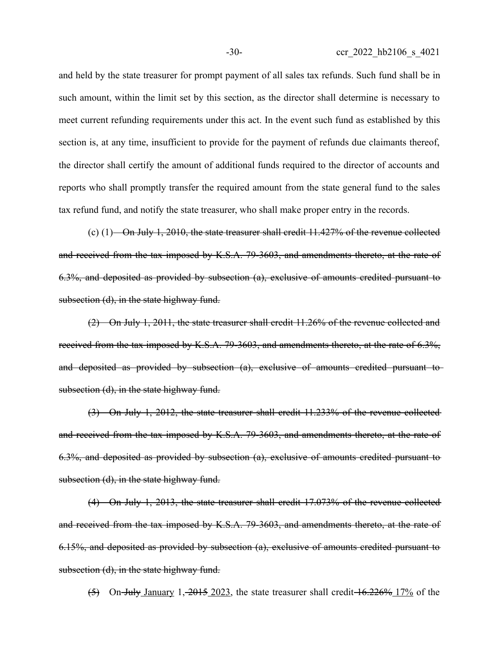and held by the state treasurer for prompt payment of all sales tax refunds. Such fund shall be in such amount, within the limit set by this section, as the director shall determine is necessary to meet current refunding requirements under this act. In the event such fund as established by this section is, at any time, insufficient to provide for the payment of refunds due claimants thereof, the director shall certify the amount of additional funds required to the director of accounts and reports who shall promptly transfer the required amount from the state general fund to the sales tax refund fund, and notify the state treasurer, who shall make proper entry in the records.

(c)  $(1)$ —On July 1, 2010, the state treasurer shall credit 11.427% of the revenue collected and received from the tax imposed by K.S.A. 79-3603, and amendments thereto, at the rate of 6.3%, and deposited as provided by subsection (a), exclusive of amounts credited pursuant to subsection (d), in the state highway fund.

(2) On July 1, 2011, the state treasurer shall credit 11.26% of the revenue collected and received from the tax imposed by K.S.A. 79-3603, and amendments thereto, at the rate of 6.3%, and deposited as provided by subsection (a), exclusive of amounts credited pursuant to subsection (d), in the state highway fund.

(3) On July 1, 2012, the state treasurer shall credit 11.233% of the revenue collected and received from the tax imposed by K.S.A. 79-3603, and amendments thereto, at the rate of 6.3%, and deposited as provided by subsection (a), exclusive of amounts credited pursuant to subsection (d), in the state highway fund.

(4) On July 1, 2013, the state treasurer shall credit 17.073% of the revenue collected and received from the tax imposed by K.S.A. 79-3603, and amendments thereto, at the rate of 6.15%, and deposited as provided by subsection (a), exclusive of amounts credited pursuant to subsection (d), in the state highway fund.

 $(5)$  On-July January 1,  $-2015$   $-2023$ , the state treasurer shall credit  $-16.226\%$   $-17\%$  of the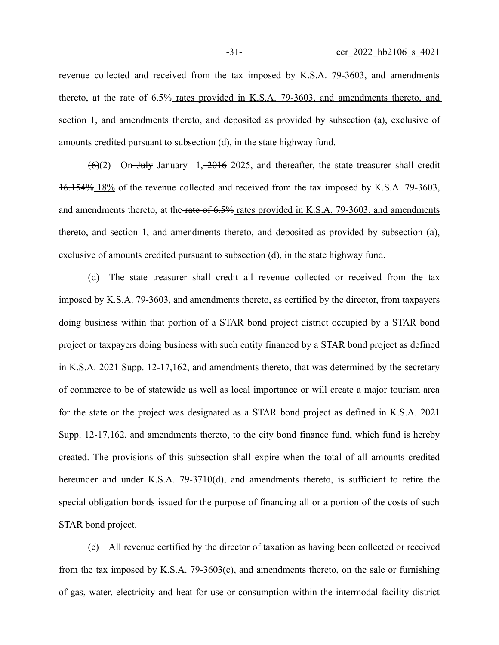revenue collected and received from the tax imposed by K.S.A. 79-3603, and amendments thereto, at the rate of 6.5% rates provided in K.S.A. 79-3603, and amendments thereto, and section 1, and amendments thereto, and deposited as provided by subsection (a), exclusive of amounts credited pursuant to subsection (d), in the state highway fund.

 $(6)(2)$  On-July January 1, 2016 2025, and thereafter, the state treasurer shall credit 16.154% 18% of the revenue collected and received from the tax imposed by K.S.A. 79-3603, and amendments thereto, at the rate of 6.5% rates provided in K.S.A. 79-3603, and amendments thereto, and section 1, and amendments thereto, and deposited as provided by subsection (a), exclusive of amounts credited pursuant to subsection (d), in the state highway fund.

(d) The state treasurer shall credit all revenue collected or received from the tax imposed by K.S.A. 79-3603, and amendments thereto, as certified by the director, from taxpayers doing business within that portion of a STAR bond project district occupied by a STAR bond project or taxpayers doing business with such entity financed by a STAR bond project as defined in K.S.A. 2021 Supp. 12-17,162, and amendments thereto, that was determined by the secretary of commerce to be of statewide as well as local importance or will create a major tourism area for the state or the project was designated as a STAR bond project as defined in K.S.A. 2021 Supp. 12-17,162, and amendments thereto, to the city bond finance fund, which fund is hereby created. The provisions of this subsection shall expire when the total of all amounts credited hereunder and under K.S.A. 79-3710(d), and amendments thereto, is sufficient to retire the special obligation bonds issued for the purpose of financing all or a portion of the costs of such STAR bond project.

(e) All revenue certified by the director of taxation as having been collected or received from the tax imposed by K.S.A. 79-3603(c), and amendments thereto, on the sale or furnishing of gas, water, electricity and heat for use or consumption within the intermodal facility district

-31- ccr 2022 hb2106 s 4021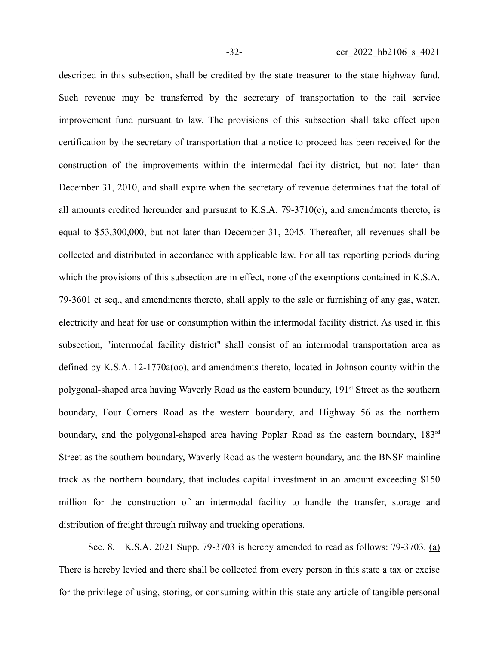described in this subsection, shall be credited by the state treasurer to the state highway fund. Such revenue may be transferred by the secretary of transportation to the rail service improvement fund pursuant to law. The provisions of this subsection shall take effect upon certification by the secretary of transportation that a notice to proceed has been received for the construction of the improvements within the intermodal facility district, but not later than December 31, 2010, and shall expire when the secretary of revenue determines that the total of all amounts credited hereunder and pursuant to K.S.A. 79-3710(e), and amendments thereto, is equal to \$53,300,000, but not later than December 31, 2045. Thereafter, all revenues shall be collected and distributed in accordance with applicable law. For all tax reporting periods during which the provisions of this subsection are in effect, none of the exemptions contained in K.S.A. 79-3601 et seq., and amendments thereto, shall apply to the sale or furnishing of any gas, water, electricity and heat for use or consumption within the intermodal facility district. As used in this subsection, "intermodal facility district" shall consist of an intermodal transportation area as defined by K.S.A. 12-1770a(oo), and amendments thereto, located in Johnson county within the polygonal-shaped area having Waverly Road as the eastern boundary, 191<sup>st</sup> Street as the southern boundary, Four Corners Road as the western boundary, and Highway 56 as the northern boundary, and the polygonal-shaped area having Poplar Road as the eastern boundary, 183<sup>rd</sup> Street as the southern boundary, Waverly Road as the western boundary, and the BNSF mainline track as the northern boundary, that includes capital investment in an amount exceeding \$150 million for the construction of an intermodal facility to handle the transfer, storage and distribution of freight through railway and trucking operations.

Sec. 8. K.S.A. 2021 Supp. 79-3703 is hereby amended to read as follows: 79-3703. (a) There is hereby levied and there shall be collected from every person in this state a tax or excise for the privilege of using, storing, or consuming within this state any article of tangible personal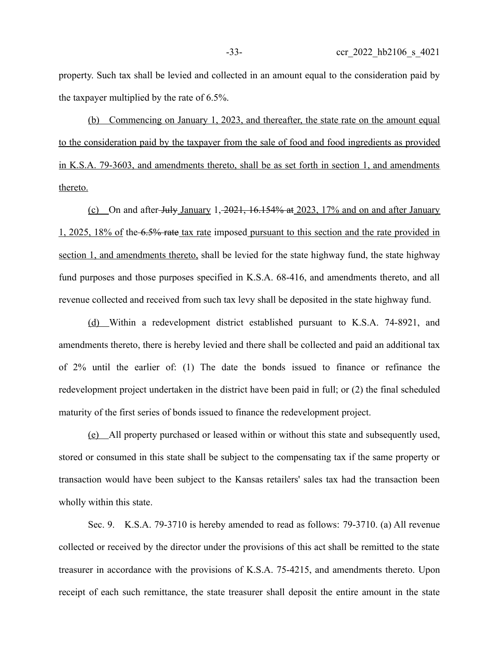property. Such tax shall be levied and collected in an amount equal to the consideration paid by the taxpayer multiplied by the rate of 6.5%.

(b) Commencing on January 1, 2023, and thereafter, the state rate on the amount equal to the consideration paid by the taxpayer from the sale of food and food ingredients as provided in K.S.A. 79-3603, and amendments thereto, shall be as set forth in section 1, and amendments thereto.

(c) On and after July January 1,  $2021$ ,  $16.154\%$  at  $2023$ ,  $17\%$  and on and after January 1, 2025, 18% of the 6.5% rate tax rate imposed pursuant to this section and the rate provided in section 1, and amendments thereto, shall be levied for the state highway fund, the state highway fund purposes and those purposes specified in K.S.A. 68-416, and amendments thereto, and all revenue collected and received from such tax levy shall be deposited in the state highway fund.

(d) Within a redevelopment district established pursuant to K.S.A. 74-8921, and amendments thereto, there is hereby levied and there shall be collected and paid an additional tax of 2% until the earlier of: (1) The date the bonds issued to finance or refinance the redevelopment project undertaken in the district have been paid in full; or (2) the final scheduled maturity of the first series of bonds issued to finance the redevelopment project.

(e) All property purchased or leased within or without this state and subsequently used, stored or consumed in this state shall be subject to the compensating tax if the same property or transaction would have been subject to the Kansas retailers' sales tax had the transaction been wholly within this state.

Sec. 9. K.S.A. 79-3710 is hereby amended to read as follows: 79-3710. (a) All revenue collected or received by the director under the provisions of this act shall be remitted to the state treasurer in accordance with the provisions of K.S.A. 75-4215, and amendments thereto. Upon receipt of each such remittance, the state treasurer shall deposit the entire amount in the state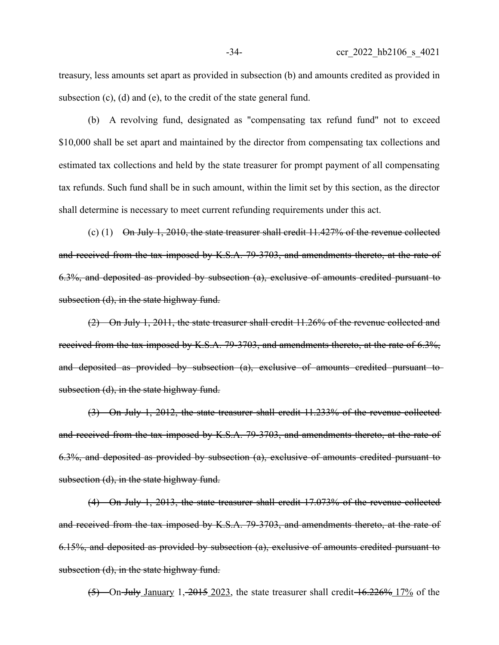treasury, less amounts set apart as provided in subsection (b) and amounts credited as provided in subsection (c), (d) and (e), to the credit of the state general fund.

(b) A revolving fund, designated as "compensating tax refund fund" not to exceed \$10,000 shall be set apart and maintained by the director from compensating tax collections and estimated tax collections and held by the state treasurer for prompt payment of all compensating tax refunds. Such fund shall be in such amount, within the limit set by this section, as the director shall determine is necessary to meet current refunding requirements under this act.

(c) (1) On July 1, 2010, the state treasurer shall credit  $11.427\%$  of the revenue collected and received from the tax imposed by K.S.A. 79-3703, and amendments thereto, at the rate of 6.3%, and deposited as provided by subsection (a), exclusive of amounts credited pursuant to subsection (d), in the state highway fund.

(2) On July 1, 2011, the state treasurer shall credit 11.26% of the revenue collected and received from the tax imposed by K.S.A. 79-3703, and amendments thereto, at the rate of 6.3%, and deposited as provided by subsection (a), exclusive of amounts credited pursuant to subsection (d), in the state highway fund.

(3) On July 1, 2012, the state treasurer shall credit 11.233% of the revenue collected and received from the tax imposed by K.S.A. 79-3703, and amendments thereto, at the rate of 6.3%, and deposited as provided by subsection (a), exclusive of amounts credited pursuant to subsection (d), in the state highway fund.

(4) On July 1, 2013, the state treasurer shall credit 17.073% of the revenue collected and received from the tax imposed by K.S.A. 79-3703, and amendments thereto, at the rate of 6.15%, and deposited as provided by subsection (a), exclusive of amounts credited pursuant to subsection (d), in the state highway fund.

 $(5)$  On-July January 1, 2015 2023, the state treasurer shall credit  $\frac{16.226\% \frac{17}{}{6}}{17.26}$  of the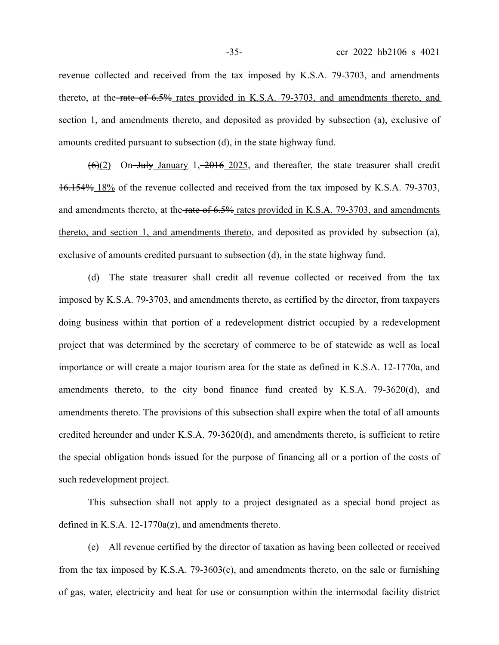revenue collected and received from the tax imposed by K.S.A. 79-3703, and amendments thereto, at the rate of 6.5% rates provided in K.S.A. 79-3703, and amendments thereto, and section 1, and amendments thereto, and deposited as provided by subsection (a), exclusive of amounts credited pursuant to subsection (d), in the state highway fund.

 $(6)(2)$  On-July January 1, 2016 2025, and thereafter, the state treasurer shall credit 16.154% 18% of the revenue collected and received from the tax imposed by K.S.A. 79-3703, and amendments thereto, at the rate of 6.5% rates provided in K.S.A. 79-3703, and amendments thereto, and section 1, and amendments thereto, and deposited as provided by subsection (a), exclusive of amounts credited pursuant to subsection (d), in the state highway fund.

(d) The state treasurer shall credit all revenue collected or received from the tax imposed by K.S.A. 79-3703, and amendments thereto, as certified by the director, from taxpayers doing business within that portion of a redevelopment district occupied by a redevelopment project that was determined by the secretary of commerce to be of statewide as well as local importance or will create a major tourism area for the state as defined in K.S.A. 12-1770a, and amendments thereto, to the city bond finance fund created by K.S.A. 79-3620(d), and amendments thereto. The provisions of this subsection shall expire when the total of all amounts credited hereunder and under K.S.A. 79-3620(d), and amendments thereto, is sufficient to retire the special obligation bonds issued for the purpose of financing all or a portion of the costs of such redevelopment project.

This subsection shall not apply to a project designated as a special bond project as defined in K.S.A. 12-1770a(z), and amendments thereto.

(e) All revenue certified by the director of taxation as having been collected or received from the tax imposed by K.S.A. 79-3603(c), and amendments thereto, on the sale or furnishing of gas, water, electricity and heat for use or consumption within the intermodal facility district

-35- ccr 2022 hb2106 s 4021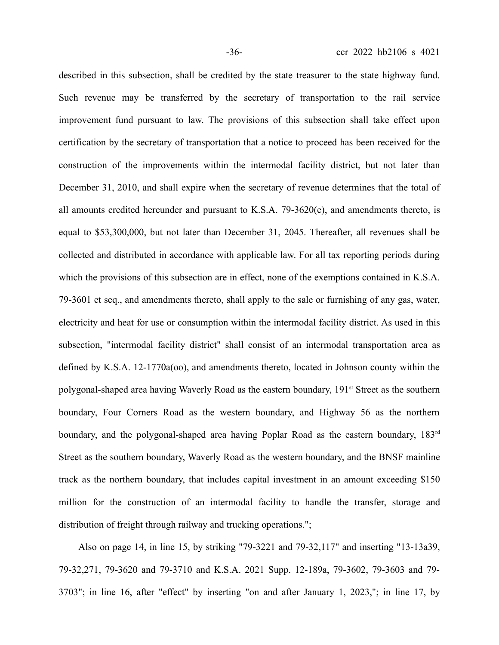described in this subsection, shall be credited by the state treasurer to the state highway fund. Such revenue may be transferred by the secretary of transportation to the rail service improvement fund pursuant to law. The provisions of this subsection shall take effect upon certification by the secretary of transportation that a notice to proceed has been received for the construction of the improvements within the intermodal facility district, but not later than December 31, 2010, and shall expire when the secretary of revenue determines that the total of all amounts credited hereunder and pursuant to K.S.A. 79-3620(e), and amendments thereto, is equal to \$53,300,000, but not later than December 31, 2045. Thereafter, all revenues shall be collected and distributed in accordance with applicable law. For all tax reporting periods during which the provisions of this subsection are in effect, none of the exemptions contained in K.S.A. 79-3601 et seq., and amendments thereto, shall apply to the sale or furnishing of any gas, water, electricity and heat for use or consumption within the intermodal facility district. As used in this subsection, "intermodal facility district" shall consist of an intermodal transportation area as defined by K.S.A. 12-1770a(oo), and amendments thereto, located in Johnson county within the polygonal-shaped area having Waverly Road as the eastern boundary, 191<sup>st</sup> Street as the southern boundary, Four Corners Road as the western boundary, and Highway 56 as the northern boundary, and the polygonal-shaped area having Poplar Road as the eastern boundary, 183<sup>rd</sup> Street as the southern boundary, Waverly Road as the western boundary, and the BNSF mainline track as the northern boundary, that includes capital investment in an amount exceeding \$150 million for the construction of an intermodal facility to handle the transfer, storage and distribution of freight through railway and trucking operations.";

Also on page 14, in line 15, by striking "79-3221 and 79-32,117" and inserting "13-13a39, 79-32,271, 79-3620 and 79-3710 and K.S.A. 2021 Supp. 12-189a, 79-3602, 79-3603 and 79- 3703"; in line 16, after "effect" by inserting "on and after January 1, 2023,"; in line 17, by